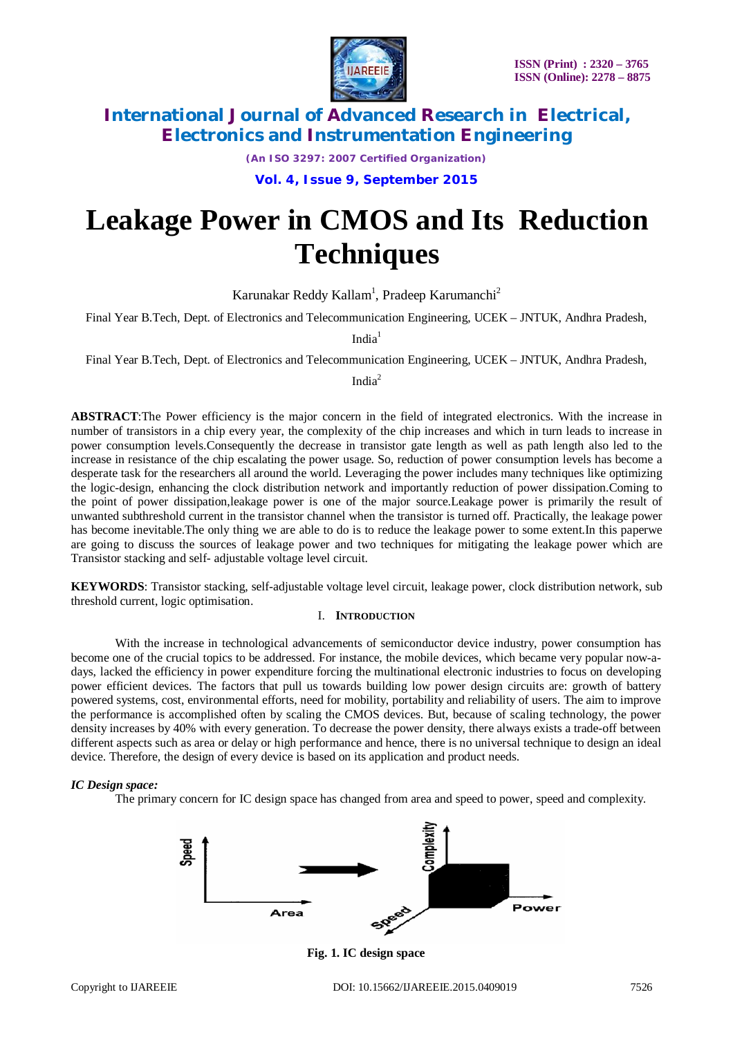

*(An ISO 3297: 2007 Certified Organization)*

**Vol. 4, Issue 9, September 2015**

# **Leakage Power in CMOS and Its Reduction Techniques**

Karunakar Reddy Kallam<sup>1</sup>, Pradeep Karumanchi<sup>2</sup>

Final Year B.Tech, Dept. of Electronics and Telecommunication Engineering, UCEK – JNTUK, Andhra Pradesh,

 $India<sup>1</sup>$ 

Final Year B.Tech, Dept. of Electronics and Telecommunication Engineering, UCEK – JNTUK, Andhra Pradesh,

India<sup>2</sup>

**ABSTRACT**:The Power efficiency is the major concern in the field of integrated electronics. With the increase in number of transistors in a chip every year, the complexity of the chip increases and which in turn leads to increase in power consumption levels.Consequently the decrease in transistor gate length as well as path length also led to the increase in resistance of the chip escalating the power usage. So, reduction of power consumption levels has become a desperate task for the researchers all around the world. Leveraging the power includes many techniques like optimizing the logic-design, enhancing the clock distribution network and importantly reduction of power dissipation.Coming to the point of power dissipation,leakage power is one of the major source.Leakage power is primarily the result of unwanted subthreshold current in the transistor channel when the transistor is turned off. Practically, the leakage power has become inevitable.The only thing we are able to do is to reduce the leakage power to some extent.In this paperwe are going to discuss the sources of leakage power and two techniques for mitigating the leakage power which are Transistor stacking and self- adjustable voltage level circuit.

**KEYWORDS**: Transistor stacking, self-adjustable voltage level circuit, leakage power, clock distribution network, sub threshold current, logic optimisation.

### I. **INTRODUCTION**

With the increase in technological advancements of semiconductor device industry, power consumption has become one of the crucial topics to be addressed. For instance, the mobile devices, which became very popular now-adays, lacked the efficiency in power expenditure forcing the multinational electronic industries to focus on developing power efficient devices. The factors that pull us towards building low power design circuits are: growth of battery powered systems, cost, environmental efforts, need for mobility, portability and reliability of users. The aim to improve the performance is accomplished often by scaling the CMOS devices. But, because of scaling technology, the power density increases by 40% with every generation. To decrease the power density, there always exists a trade-off between different aspects such as area or delay or high performance and hence, there is no universal technique to design an ideal device. Therefore, the design of every device is based on its application and product needs.

### *IC Design space:*

The primary concern for IC design space has changed from area and speed to power, speed and complexity.



**Fig. 1. IC design space**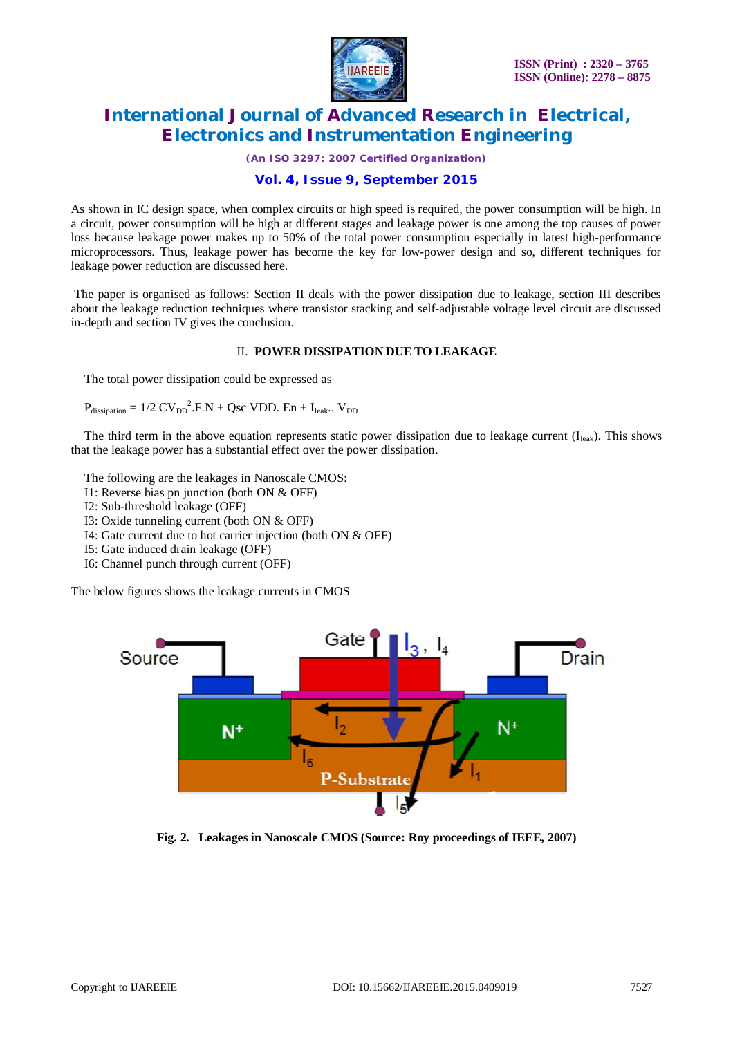

*(An ISO 3297: 2007 Certified Organization)*

### **Vol. 4, Issue 9, September 2015**

As shown in IC design space, when complex circuits or high speed is required, the power consumption will be high. In a circuit, power consumption will be high at different stages and leakage power is one among the top causes of power loss because leakage power makes up to 50% of the total power consumption especially in latest high-performance microprocessors. Thus, leakage power has become the key for low-power design and so, different techniques for leakage power reduction are discussed here.

The paper is organised as follows: Section II deals with the power dissipation due to leakage, section III describes about the leakage reduction techniques where transistor stacking and self-adjustable voltage level circuit are discussed in-depth and section IV gives the conclusion.

### II. **POWER DISSIPATION DUE TO LEAKAGE**

The total power dissipation could be expressed as

$$
P_{\text{dissipation}} = 1/2 \text{ CV}_{\text{DD}}^2 \cdot F \cdot N + \text{Qsc VDD} \cdot \text{En} + I_{\text{leak}} \cdot V_{\text{DD}}
$$

The third term in the above equation represents static power dissipation due to leakage current  $(I_{\text{leak}})$ . This shows that the leakage power has a substantial effect over the power dissipation.

The following are the leakages in Nanoscale CMOS:

- I1: Reverse bias pn junction (both ON & OFF)
- I2: Sub-threshold leakage (OFF)
- I3: Oxide tunneling current (both ON & OFF)
- I4: Gate current due to hot carrier injection (both ON & OFF)
- I5: Gate induced drain leakage (OFF)
- I6: Channel punch through current (OFF)

The below figures shows the leakage currents in CMOS



**Fig. 2. Leakages in Nanoscale CMOS (Source: Roy proceedings of IEEE, 2007)**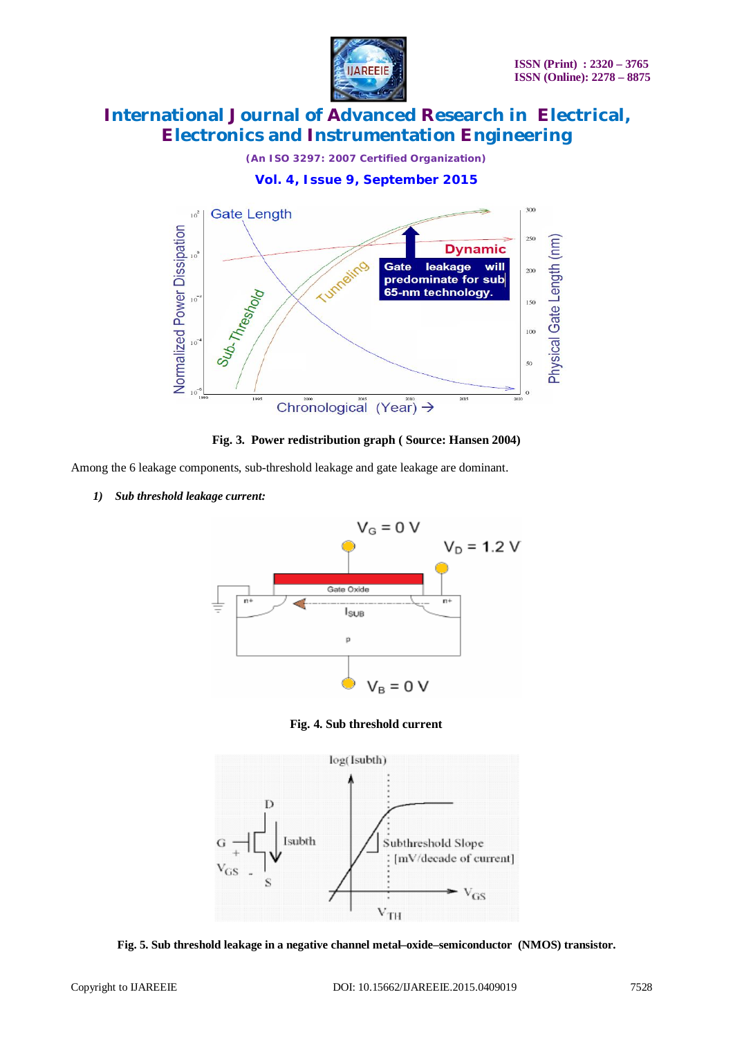





**Fig. 3. Power redistribution graph ( Source: Hansen 2004)**

Among the 6 leakage components, sub-threshold leakage and gate leakage are dominant.

*1) Sub threshold leakage current:*



**Fig. 4. Sub threshold current**



**Fig. 5. Sub threshold leakage in a negative channel metal–oxide–semiconductor (NMOS) transistor.**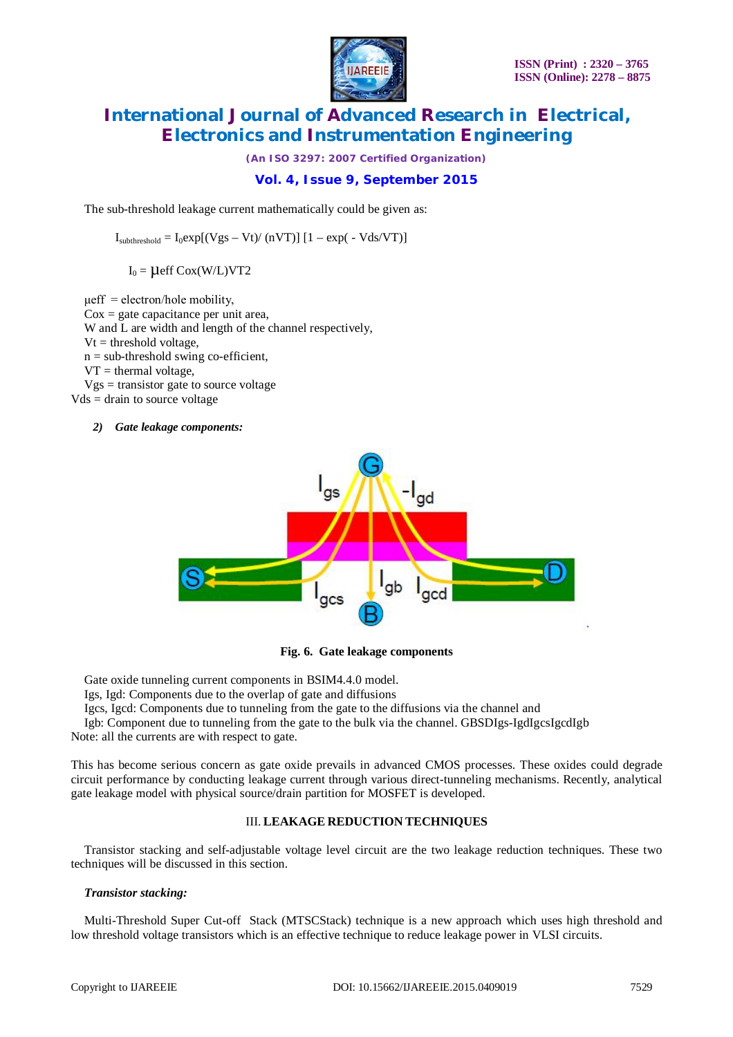

*(An ISO 3297: 2007 Certified Organization)*

### **Vol. 4, Issue 9, September 2015**

The sub-threshold leakage current mathematically could be given as:

 $I_{subthreshold} = I_0 exp[(Vgs - Vt)/(nVT)] [1 - exp(-Vds/VT)]$ 

 $I_0 = \mu$ eff Cox(W/L)VT2

 $\mu$ eff = electron/hole mobility,  $\cos$  = gate capacitance per unit area, W and L are width and length of the channel respectively,  $Vt = threshold voltage$ .  $n = sub-threshold swing co-efficient,$  $VT =$  thermal voltage,  $Vgs = \text{transistor gate}$  to source voltage  $Vds = \text{drain to source voltage}$ 

#### *2) Gate leakage components:*



#### **Fig. 6. Gate leakage components**

Gate oxide tunneling current components in BSIM4.4.0 model.

Igs, Igd: Components due to the overlap of gate and diffusions

Igcs, Igcd: Components due to tunneling from the gate to the diffusions via the channel and

Igb: Component due to tunneling from the gate to the bulk via the channel. GBSDIgs-IgdIgcsIgcdIgb Note: all the currents are with respect to gate.

This has become serious concern as gate oxide prevails in advanced CMOS processes. These oxides could degrade circuit performance by conducting leakage current through various direct-tunneling mechanisms. Recently, analytical gate leakage model with physical source/drain partition for MOSFET is developed.

#### III. **LEAKAGE REDUCTION TECHNIQUES**

Transistor stacking and self-adjustable voltage level circuit are the two leakage reduction techniques. These two techniques will be discussed in this section.

#### *Transistor stacking:*

Multi-Threshold Super Cut-off Stack (MTSCStack) technique is a new approach which uses high threshold and low threshold voltage transistors which is an effective technique to reduce leakage power in VLSI circuits.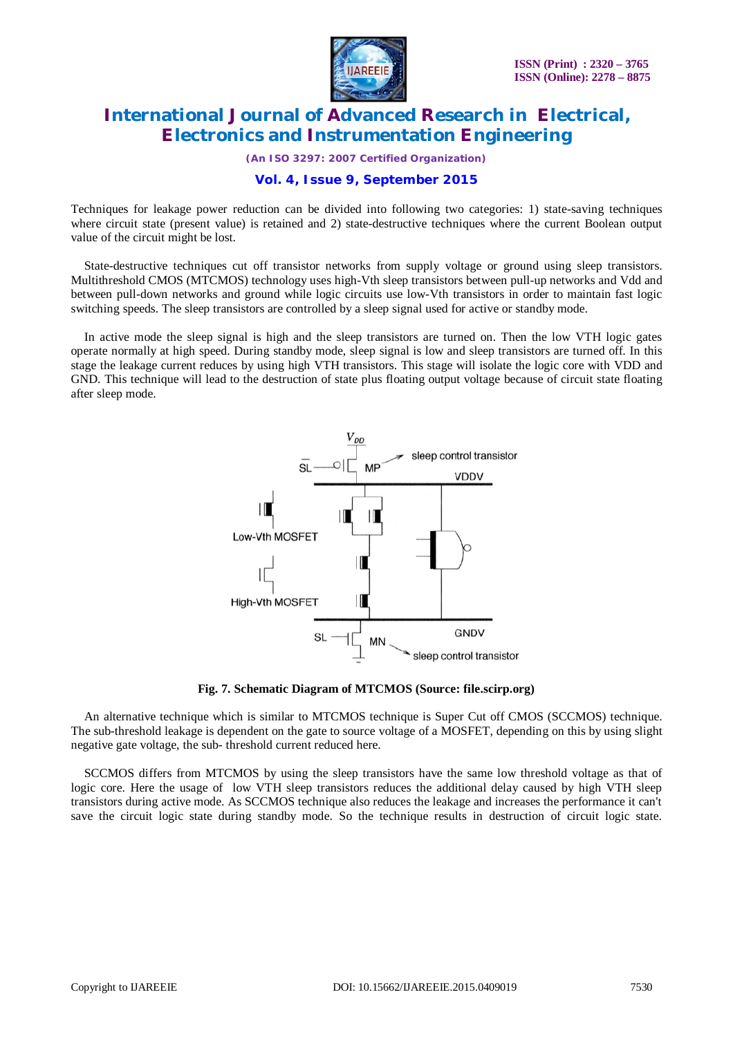

*(An ISO 3297: 2007 Certified Organization)*

### **Vol. 4, Issue 9, September 2015**

Techniques for leakage power reduction can be divided into following two categories: 1) state-saving techniques where circuit state (present value) is retained and 2) state-destructive techniques where the current Boolean output value of the circuit might be lost.

State-destructive techniques cut off transistor networks from supply voltage or ground using sleep transistors. Multithreshold CMOS (MTCMOS) technology uses high-Vth sleep transistors between pull-up networks and Vdd and between pull-down networks and ground while logic circuits use low-Vth transistors in order to maintain fast logic switching speeds. The sleep transistors are controlled by a sleep signal used for active or standby mode.

In active mode the sleep signal is high and the sleep transistors are turned on. Then the low VTH logic gates operate normally at high speed. During standby mode, sleep signal is low and sleep transistors are turned off. In this stage the leakage current reduces by using high VTH transistors. This stage will isolate the logic core with VDD and GND. This technique will lead to the destruction of state plus floating output voltage because of circuit state floating after sleep mode.



**Fig. 7. Schematic Diagram of MTCMOS (Source: file.scirp.org)**

An alternative technique which is similar to MTCMOS technique is Super Cut off CMOS (SCCMOS) technique. The sub-threshold leakage is dependent on the gate to source voltage of a MOSFET, depending on this by using slight negative gate voltage, the sub- threshold current reduced here.

SCCMOS differs from MTCMOS by using the sleep transistors have the same low threshold voltage as that of logic core. Here the usage of low VTH sleep transistors reduces the additional delay caused by high VTH sleep transistors during active mode. As SCCMOS technique also reduces the leakage and increases the performance it can't save the circuit logic state during standby mode. So the technique results in destruction of circuit logic state.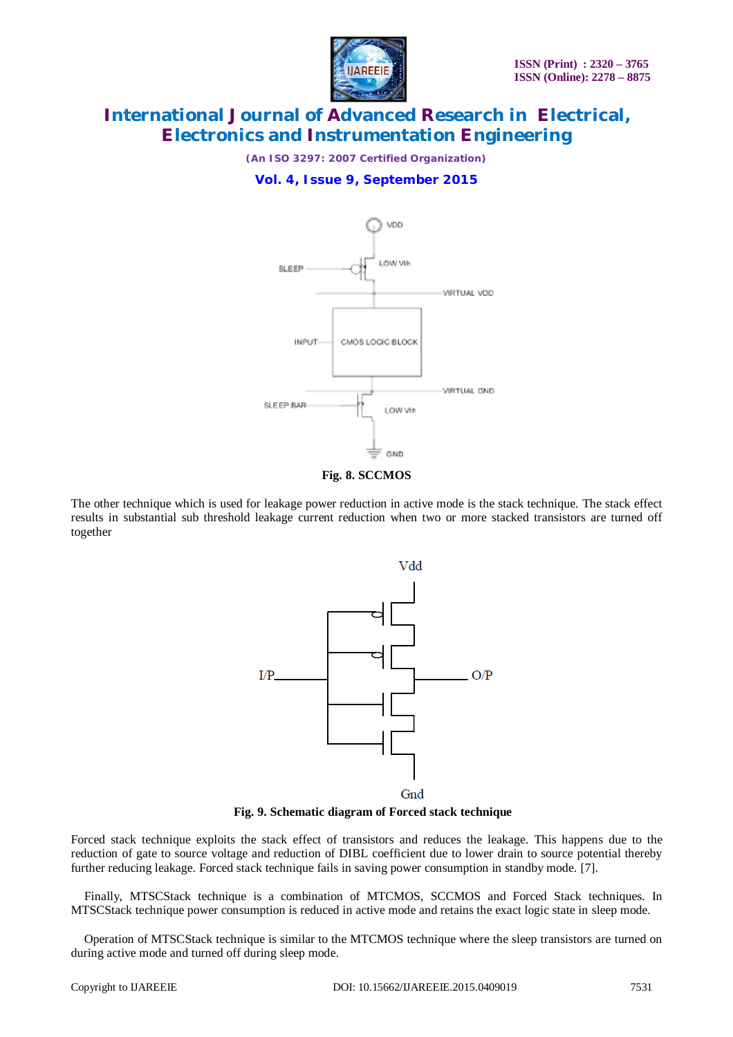

*(An ISO 3297: 2007 Certified Organization)*

### **Vol. 4, Issue 9, September 2015**



**Fig. 8. SCCMOS**

The other technique which is used for leakage power reduction in active mode is the stack technique. The stack effect results in substantial sub threshold leakage current reduction when two or more stacked transistors are turned off together



**Fig. 9. Schematic diagram of Forced stack technique**

Forced stack technique exploits the stack effect of transistors and reduces the leakage. This happens due to the reduction of gate to source voltage and reduction of DIBL coefficient due to lower drain to source potential thereby further reducing leakage. Forced stack technique fails in saving power consumption in standby mode. [7].

Finally, MTSCStack technique is a combination of MTCMOS, SCCMOS and Forced Stack techniques. In MTSCStack technique power consumption is reduced in active mode and retains the exact logic state in sleep mode.

Operation of MTSCStack technique is similar to the MTCMOS technique where the sleep transistors are turned on during active mode and turned off during sleep mode.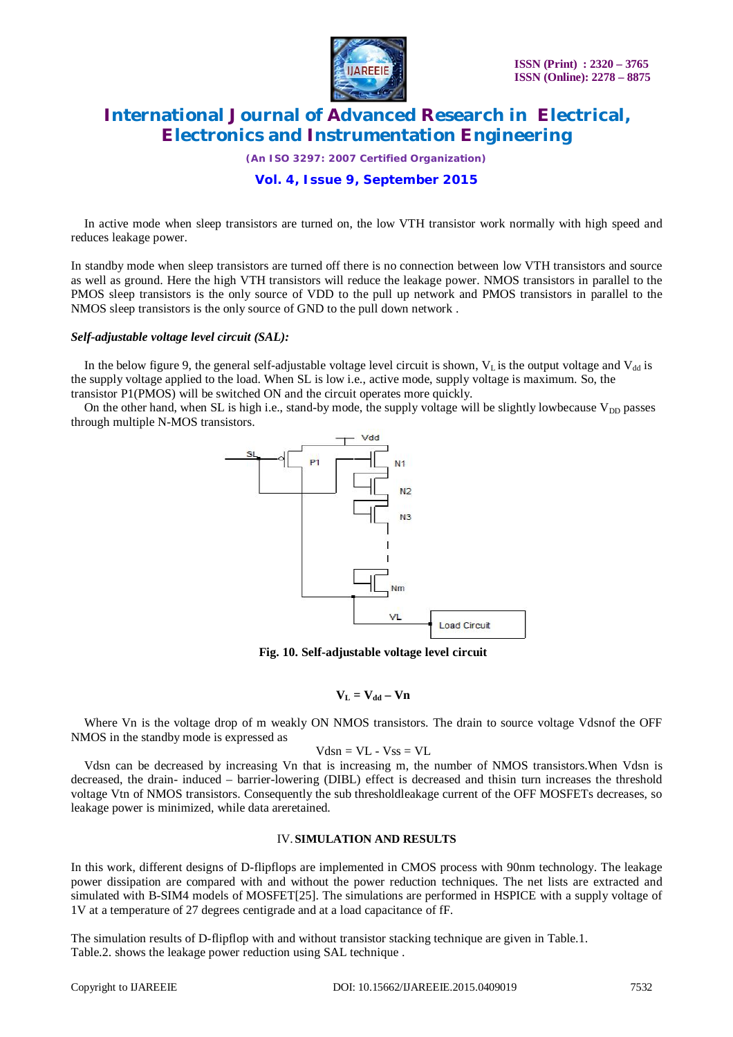

*(An ISO 3297: 2007 Certified Organization)*

### **Vol. 4, Issue 9, September 2015**

In active mode when sleep transistors are turned on, the low VTH transistor work normally with high speed and reduces leakage power.

In standby mode when sleep transistors are turned off there is no connection between low VTH transistors and source as well as ground. Here the high VTH transistors will reduce the leakage power. NMOS transistors in parallel to the PMOS sleep transistors is the only source of VDD to the pull up network and PMOS transistors in parallel to the NMOS sleep transistors is the only source of GND to the pull down network .

#### *Self-adjustable voltage level circuit (SAL):*

In the below figure 9, the general self-adjustable voltage level circuit is shown,  $V<sub>L</sub>$  is the output voltage and  $V<sub>dd</sub>$  is the supply voltage applied to the load. When SL is low i.e., active mode, supply voltage is maximum. So, the transistor P1(PMOS) will be switched ON and the circuit operates more quickly.

On the other hand, when SL is high i.e., stand-by mode, the supply voltage will be slightly lowbecause  $V_{DD}$  passes through multiple N-MOS transistors.



**Fig. 10. Self-adjustable voltage level circuit**

### $V_L = V_{dd} - V_B$

Where Vn is the voltage drop of m weakly ON NMOS transistors. The drain to source voltage Vdsnof the OFF NMOS in the standby mode is expressed as

$$
Vdsn = VL - Vss = VL
$$

Vdsn can be decreased by increasing Vn that is increasing m, the number of NMOS transistors.When Vdsn is decreased, the drain- induced – barrier-lowering (DIBL) effect is decreased and thisin turn increases the threshold voltage Vtn of NMOS transistors. Consequently the sub thresholdleakage current of the OFF MOSFETs decreases, so leakage power is minimized, while data areretained.

#### IV.**SIMULATION AND RESULTS**

In this work, different designs of D-flipflops are implemented in CMOS process with 90nm technology. The leakage power dissipation are compared with and without the power reduction techniques. The net lists are extracted and simulated with B-SIM4 models of MOSFET[25]. The simulations are performed in HSPICE with a supply voltage of 1V at a temperature of 27 degrees centigrade and at a load capacitance of fF.

The simulation results of D-flipflop with and without transistor stacking technique are given in Table.1. Table.2. shows the leakage power reduction using SAL technique .